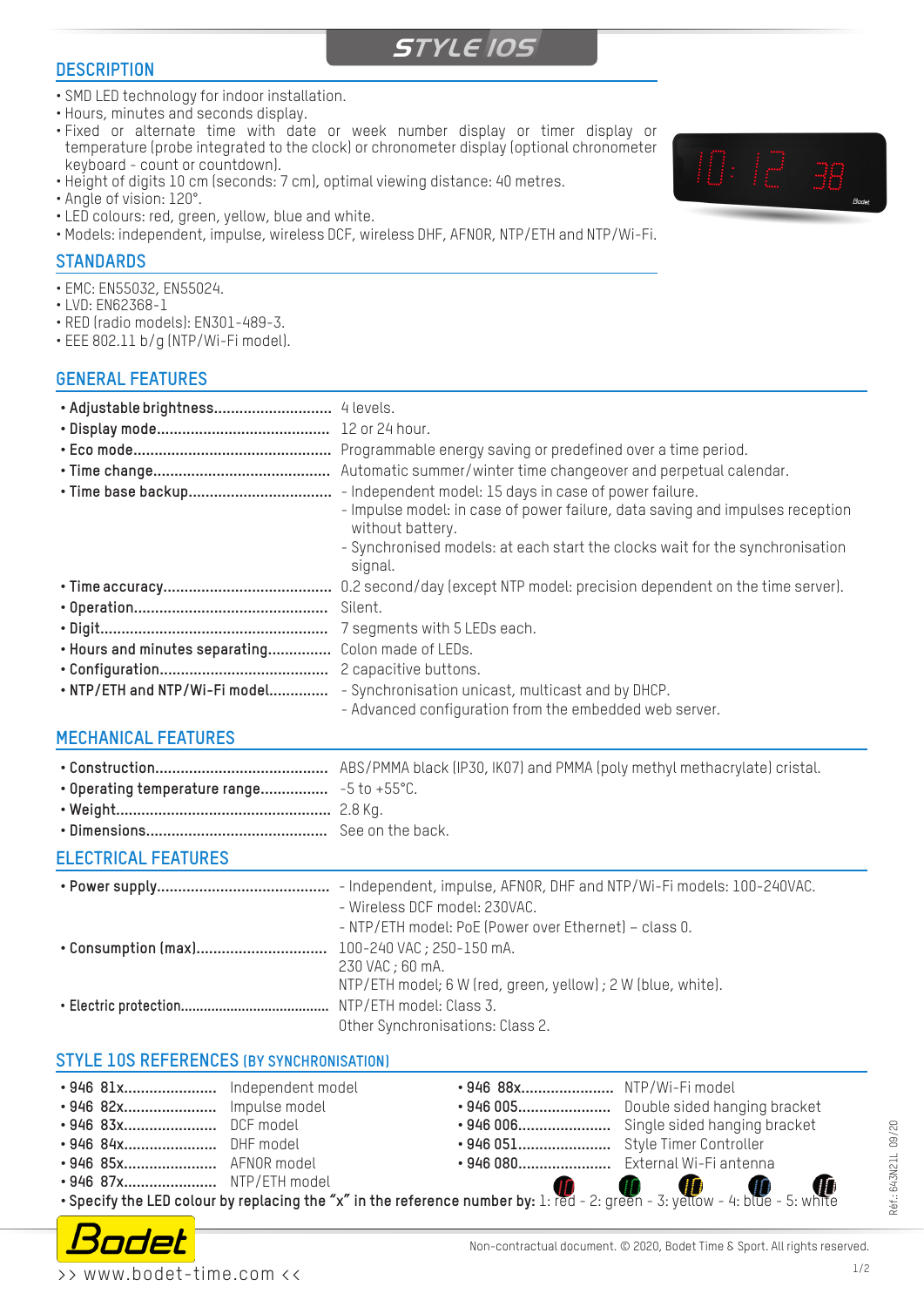#### **DESCRIPTION**

## **STYLE 10S**

- SMD LED technology for indoor installation.
- Hours, minutes and seconds display.
- Fixed or alternate time with date or week number display or timer display or temperature (probe integrated to the clock) or chronometer display (optional chronometer keyboard - count or countdown).
- Height of digits 10 cm (seconds: 7 cm), optimal viewing distance: 40 metres.
- Angle of vision: 120°.
- LED colours: red, green, yellow, blue and white.
- Models: independent, impulse, wireless DCF, wireless DHF, AFNOR, NTP/ETH and NTP/Wi-Fi.

#### **STANDARDS**

- EMC: EN55032, EN55024.
- LVD: EN62368-1
- RED (radio models): EN301-489-3.
- EEE 802.11 b/g (NTP/Wi-Fi model).

#### **GENERAL FEATURES**

| • Adjustable brightness        | 4 levels.                                                                                                   |
|--------------------------------|-------------------------------------------------------------------------------------------------------------|
|                                |                                                                                                             |
|                                | Programmable energy saving or predefined over a time period.                                                |
|                                | Automatic summer/winter time changeover and perpetual calendar.                                             |
|                                | - Independent model: 15 days in case of power failure.                                                      |
|                                | - Impulse model: in case of power failure, data saving and impulses reception<br>without battery.           |
|                                | - Synchronised models: at each start the clocks wait for the synchronisation<br>signal.                     |
|                                | 0.2 second/day (except NTP model: precision dependent on the time server).                                  |
|                                | Silent.                                                                                                     |
|                                | 7 segments with 5 LEDs each.                                                                                |
| . Hours and minutes separating | Colon made of LEDs.                                                                                         |
|                                | 2 capacitive buttons.                                                                                       |
| . NTP/ETH and NTP/Wi-Fi model  | - Synchronisation unicast, multicast and by DHCP.<br>- Advanced configuration from the embedded web server. |

#### **MECHANICAL FEATURES**

**• Construction.........................................** ABS/PMMA black (IP30, IK07) and PMMA (poly methyl methacrylate) cristal. **• Operating temperature range................** -5 to +55°C. **• Weight...................................................** 2.8 Kg. **• Dimensions...........................................** See on the back.

#### **ELECTRICAL FEATURES**

| - Independent, impulse, AFNOR, DHF and NTP/Wi-Fi models: 100-240VAC.<br>- Wireless DCF model: 230VAC. |  |
|-------------------------------------------------------------------------------------------------------|--|
| - NTP/ETH model: PoE (Power over Ethernet) - class 0.                                                 |  |
|                                                                                                       |  |
| 230 VAC ; 60 mA.                                                                                      |  |
| NTP/ETH model; 6 W (red, green, yellow); 2 W (blue, white).                                           |  |
|                                                                                                       |  |
| Other Synchronisations: Class 2.                                                                      |  |

#### **STYLE 10S REFERENCES (BY SYNCHRONISATION)**

|  |                         |  | • 946 88x NTP/Wi-Fi model |  |  |  |
|--|-------------------------|--|---------------------------|--|--|--|
|  | • 946 83x DCF model     |  |                           |  |  |  |
|  | • 946 84x DHF model     |  |                           |  |  |  |
|  | • 946 85x AFNOR model   |  |                           |  |  |  |
|  | • 946 87x NTP/ETH model |  |                           |  |  |  |
|  |                         |  |                           |  |  |  |



Réf.: 643N21L 09/20

Réf.: 643N21L 09/20